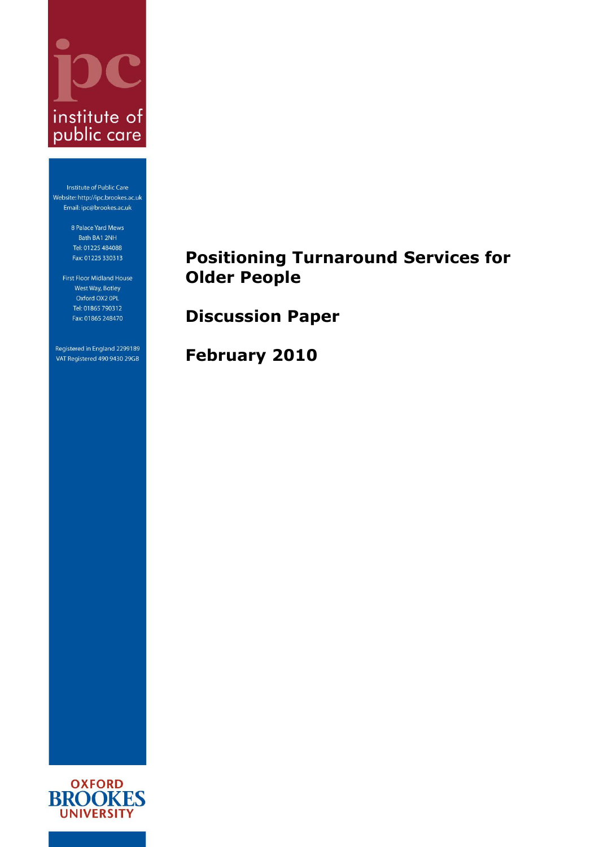

Institute of Public Care Website: http://ipc.brookes.ac.uk Email: ipc@brookes.ac.uk

> 8 Palace Yard Mews Bath BA1 2NH Tel: 01225 484088 Fax: 01225 330313

First Floor Midland House West Way, Botley Oxford OX2 OPL Tel: 01865 790312 Fax: 01865 248470

Registered in England 2299189 VAT Registered 490 9430 29GB

# **Positioning Turnaround Services for Older People**

**Discussion Paper**

**February 2010**

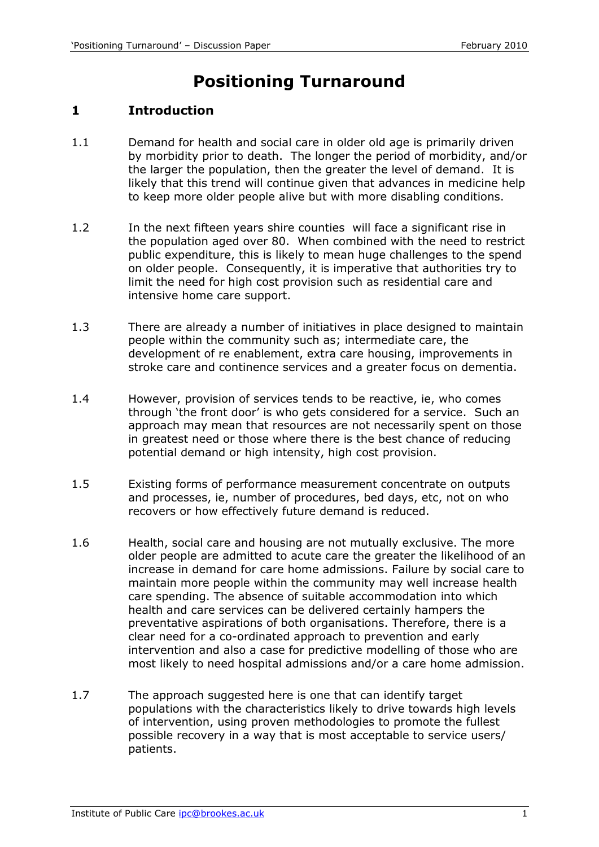# **Positioning Turnaround**

# **1 Introduction**

- 1.1 Demand for health and social care in older old age is primarily driven by morbidity prior to death. The longer the period of morbidity, and/or the larger the population, then the greater the level of demand. It is likely that this trend will continue given that advances in medicine help to keep more older people alive but with more disabling conditions.
- 1.2 In the next fifteen years shire counties will face a significant rise in the population aged over 80. When combined with the need to restrict public expenditure, this is likely to mean huge challenges to the spend on older people. Consequently, it is imperative that authorities try to limit the need for high cost provision such as residential care and intensive home care support.
- 1.3 There are already a number of initiatives in place designed to maintain people within the community such as; intermediate care, the development of re enablement, extra care housing, improvements in stroke care and continence services and a greater focus on dementia.
- 1.4 However, provision of services tends to be reactive, ie, who comes through 'the front door' is who gets considered for a service. Such an approach may mean that resources are not necessarily spent on those in greatest need or those where there is the best chance of reducing potential demand or high intensity, high cost provision.
- 1.5 Existing forms of performance measurement concentrate on outputs and processes, ie, number of procedures, bed days, etc, not on who recovers or how effectively future demand is reduced.
- 1.6 Health, social care and housing are not mutually exclusive. The more older people are admitted to acute care the greater the likelihood of an increase in demand for care home admissions. Failure by social care to maintain more people within the community may well increase health care spending. The absence of suitable accommodation into which health and care services can be delivered certainly hampers the preventative aspirations of both organisations. Therefore, there is a clear need for a co-ordinated approach to prevention and early intervention and also a case for predictive modelling of those who are most likely to need hospital admissions and/or a care home admission.
- 1.7 The approach suggested here is one that can identify target populations with the characteristics likely to drive towards high levels of intervention, using proven methodologies to promote the fullest possible recovery in a way that is most acceptable to service users/ patients.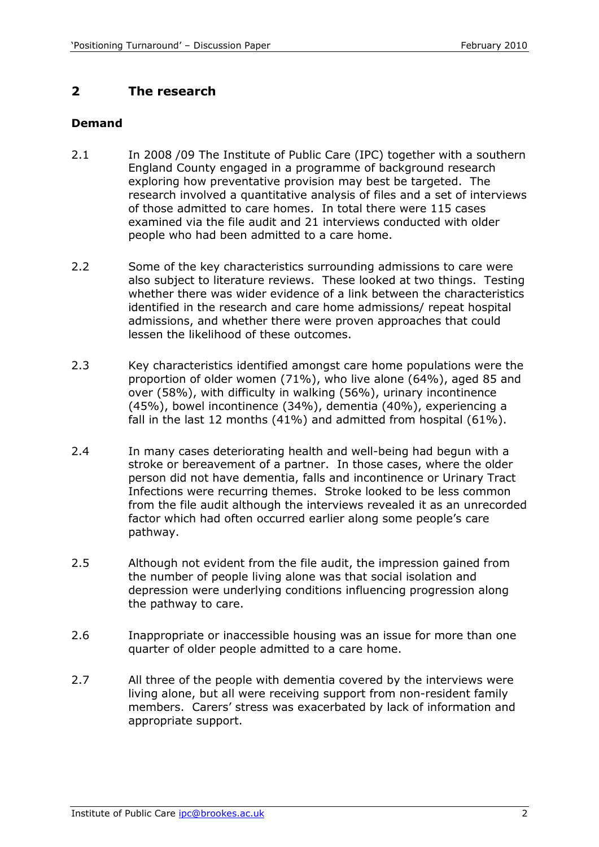# **2 The research**

### **Demand**

- 2.1 In 2008 /09 The Institute of Public Care (IPC) together with a southern England County engaged in a programme of background research exploring how preventative provision may best be targeted. The research involved a quantitative analysis of files and a set of interviews of those admitted to care homes. In total there were 115 cases examined via the file audit and 21 interviews conducted with older people who had been admitted to a care home.
- 2.2 Some of the key characteristics surrounding admissions to care were also subject to literature reviews. These looked at two things. Testing whether there was wider evidence of a link between the characteristics identified in the research and care home admissions/ repeat hospital admissions, and whether there were proven approaches that could lessen the likelihood of these outcomes.
- 2.3 Key characteristics identified amongst care home populations were the proportion of older women (71%), who live alone (64%), aged 85 and over (58%), with difficulty in walking (56%), urinary incontinence (45%), bowel incontinence (34%), dementia (40%), experiencing a fall in the last 12 months (41%) and admitted from hospital (61%).
- 2.4 In many cases deteriorating health and well-being had begun with a stroke or bereavement of a partner. In those cases, where the older person did not have dementia, falls and incontinence or Urinary Tract Infections were recurring themes. Stroke looked to be less common from the file audit although the interviews revealed it as an unrecorded factor which had often occurred earlier along some people's care pathway.
- 2.5 Although not evident from the file audit, the impression gained from the number of people living alone was that social isolation and depression were underlying conditions influencing progression along the pathway to care.
- 2.6 Inappropriate or inaccessible housing was an issue for more than one quarter of older people admitted to a care home.
- 2.7 All three of the people with dementia covered by the interviews were living alone, but all were receiving support from non-resident family members. Carers' stress was exacerbated by lack of information and appropriate support.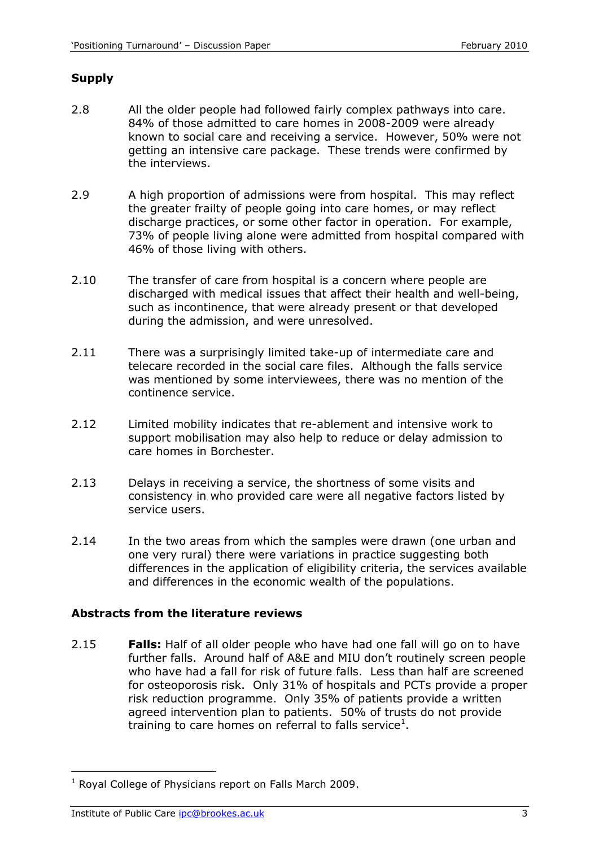#### **Supply**

- 2.8 All the older people had followed fairly complex pathways into care. 84% of those admitted to care homes in 2008-2009 were already known to social care and receiving a service. However, 50% were not getting an intensive care package. These trends were confirmed by the interviews.
- 2.9 A high proportion of admissions were from hospital. This may reflect the greater frailty of people going into care homes, or may reflect discharge practices, or some other factor in operation. For example, 73% of people living alone were admitted from hospital compared with 46% of those living with others.
- 2.10 The transfer of care from hospital is a concern where people are discharged with medical issues that affect their health and well-being, such as incontinence, that were already present or that developed during the admission, and were unresolved.
- 2.11 There was a surprisingly limited take-up of intermediate care and telecare recorded in the social care files. Although the falls service was mentioned by some interviewees, there was no mention of the continence service.
- 2.12 Limited mobility indicates that re-ablement and intensive work to support mobilisation may also help to reduce or delay admission to care homes in Borchester.
- 2.13 Delays in receiving a service, the shortness of some visits and consistency in who provided care were all negative factors listed by service users.
- 2.14 In the two areas from which the samples were drawn (one urban and one very rural) there were variations in practice suggesting both differences in the application of eligibility criteria, the services available and differences in the economic wealth of the populations.

#### **Abstracts from the literature reviews**

2.15 **Falls:** Half of all older people who have had one fall will go on to have further falls.Around half of A&E and MIU don't routinely screen people who have had a fall for risk of future falls. Less than half are screened for osteoporosis risk. Only 31% of hospitals and PCTs provide a proper risk reduction programme. Only 35% of patients provide a written agreed intervention plan to patients. 50% of trusts do not provide training to care homes on referral to falls service<sup>1</sup>.

 $\overline{a}$ 

 $1$  Royal College of Physicians report on Falls March 2009.

Institute of Public Care ipc@brookes.ac.uk 3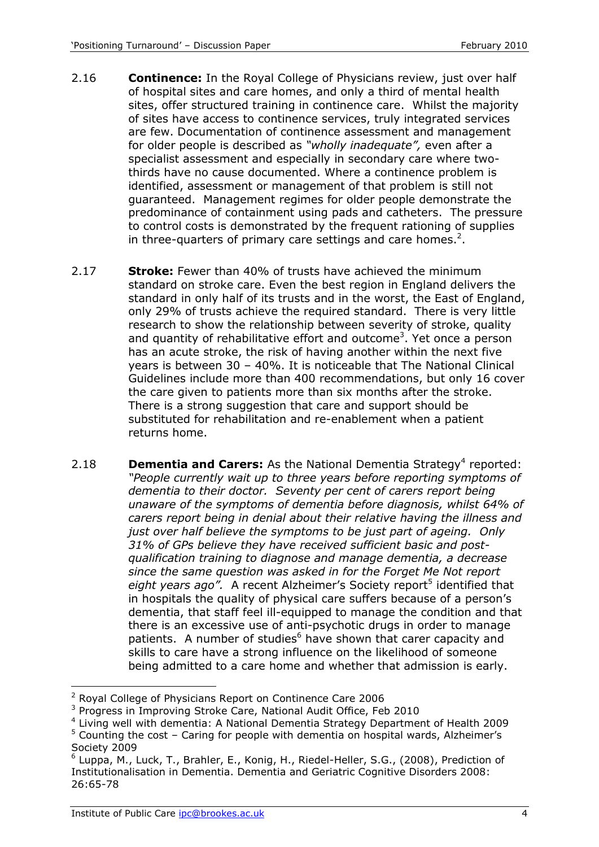- 2.16 **Continence:** In the Royal College of Physicians review, just over half of hospital sites and care homes, and only a third of mental health sites, offer structured training in continence care. Whilst the majority of sites have access to continence services, truly integrated services are few. Documentation of continence assessment and management for older people is described as *"wholly inadequate",* even after a specialist assessment and especially in secondary care where twothirds have no cause documented. Where a continence problem is identified, assessment or management of that problem is still not guaranteed. Management regimes for older people demonstrate the predominance of containment using pads and catheters. The pressure to control costs is demonstrated by the frequent rationing of supplies in three-quarters of primary care settings and care homes.<sup>2</sup>.
- 2.17 **Stroke:** Fewer than 40% of trusts have achieved the minimum standard on stroke care. Even the best region in England delivers the standard in only half of its trusts and in the worst, the East of England, only 29% of trusts achieve the required standard. There is very little research to show the relationship between severity of stroke, quality and quantity of rehabilitative effort and outcome<sup>3</sup>. Yet once a person has an acute stroke, the risk of having another within the next five years is between 30 – 40%. It is noticeable that The National Clinical Guidelines include more than 400 recommendations, but only 16 cover the care given to patients more than six months after the stroke. There is a strong suggestion that care and support should be substituted for rehabilitation and re-enablement when a patient returns home.
- 2.18 **Dementia and Carers:** As the National Dementia Strategy<sup>4</sup> reported: *"People currently wait up to three years before reporting symptoms of dementia to their doctor. Seventy per cent of carers report being unaware of the symptoms of dementia before diagnosis, whilst 64% of carers report being in denial about their relative having the illness and just over half believe the symptoms to be just part of ageing. Only 31% of GPs believe they have received sufficient basic and postqualification training to diagnose and manage dementia, a decrease since the same question was asked in for the Forget Me Not report*  eight years ago". A recent Alzheimer's Society report<sup>5</sup> identified that in hospitals the quality of physical care suffers because of a person's dementia, that staff feel ill-equipped to manage the condition and that there is an excessive use of anti-psychotic drugs in order to manage patients. A number of studies<sup>6</sup> have shown that carer capacity and skills to care have a strong influence on the likelihood of someone being admitted to a care home and whether that admission is early.

<sup>-</sup><sup>2</sup> Royal College of Physicians Report on Continence Care 2006

<sup>&</sup>lt;sup>3</sup> Progress in Improving Stroke Care, National Audit Office, Feb 2010

<sup>&</sup>lt;sup>4</sup> Living well with dementia: A National Dementia Strategy Department of Health 2009

 $5$  Counting the cost – Caring for people with dementia on hospital wards, Alzheimer's Society 2009

<sup>&</sup>lt;sup>6</sup> Luppa, M., Luck, T., Brahler, E., Konig, H., Riedel-Heller, S.G., (2008), Prediction of Institutionalisation in Dementia. Dementia and Geriatric Cognitive Disorders 2008: 26:65-78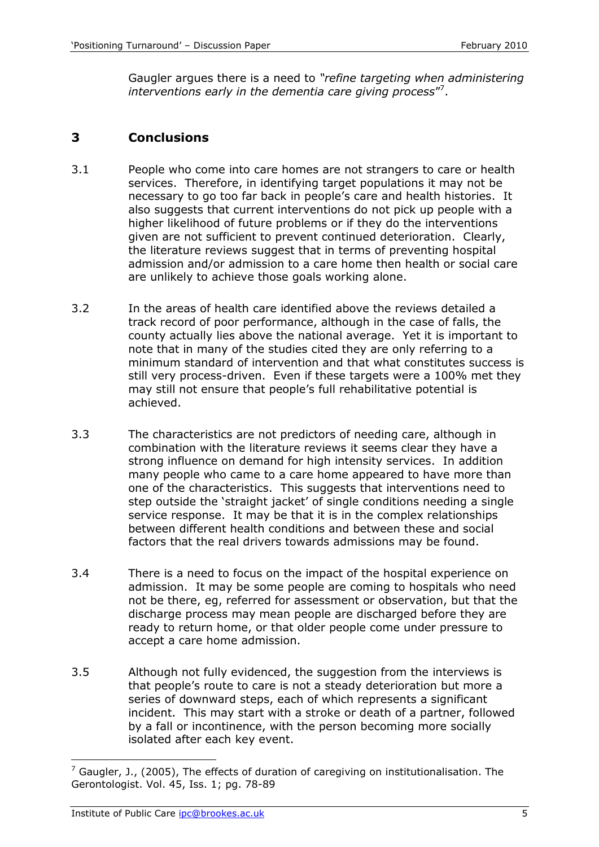Gaugler argues there is a need to *"refine targeting when administering*  interventions early in the dementia care giving process"<sup>7</sup>.

# **3 Conclusions**

- 3.1 People who come into care homes are not strangers to care or health services. Therefore, in identifying target populations it may not be necessary to go too far back in people's care and health histories. It also suggests that current interventions do not pick up people with a higher likelihood of future problems or if they do the interventions given are not sufficient to prevent continued deterioration. Clearly, the literature reviews suggest that in terms of preventing hospital admission and/or admission to a care home then health or social care are unlikely to achieve those goals working alone.
- 3.2 In the areas of health care identified above the reviews detailed a track record of poor performance, although in the case of falls, the county actually lies above the national average. Yet it is important to note that in many of the studies cited they are only referring to a minimum standard of intervention and that what constitutes success is still very process-driven. Even if these targets were a 100% met they may still not ensure that people's full rehabilitative potential is achieved.
- 3.3 The characteristics are not predictors of needing care, although in combination with the literature reviews it seems clear they have a strong influence on demand for high intensity services. In addition many people who came to a care home appeared to have more than one of the characteristics. This suggests that interventions need to step outside the 'straight jacket' of single conditions needing a single service response. It may be that it is in the complex relationships between different health conditions and between these and social factors that the real drivers towards admissions may be found.
- 3.4 There is a need to focus on the impact of the hospital experience on admission. It may be some people are coming to hospitals who need not be there, eg, referred for assessment or observation, but that the discharge process may mean people are discharged before they are ready to return home, or that older people come under pressure to accept a care home admission.
- 3.5 Although not fully evidenced, the suggestion from the interviews is that people's route to care is not a steady deterioration but more a series of downward steps, each of which represents a significant incident. This may start with a stroke or death of a partner, followed by a fall or incontinence, with the person becoming more socially isolated after each key event.

-

 $<sup>7</sup>$  Gaugler, J., (2005), The effects of duration of caregiving on institutionalisation. The</sup> Gerontologist. Vol. 45, Iss. 1; pg. 78-89

Institute of Public Care ipc@brookes.ac.uk 5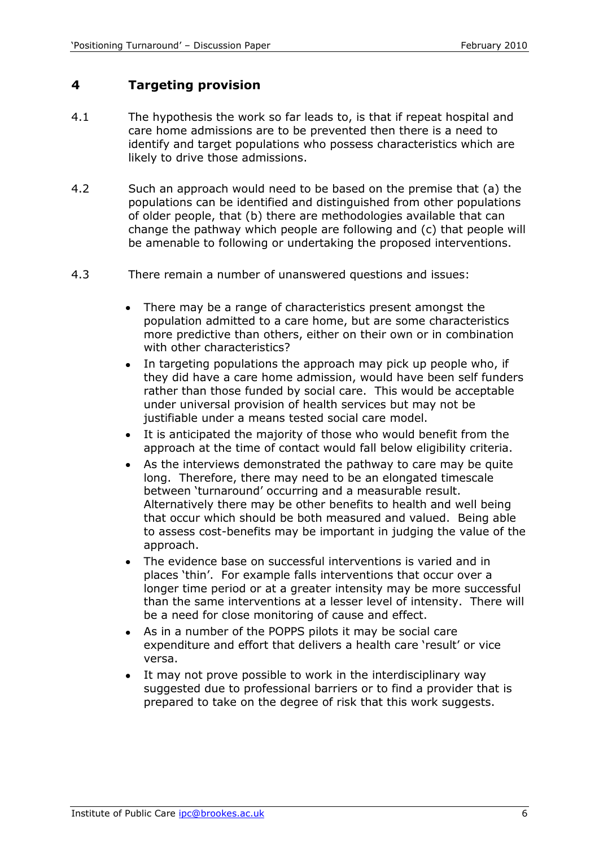## **4 Targeting provision**

- 4.1 The hypothesis the work so far leads to, is that if repeat hospital and care home admissions are to be prevented then there is a need to identify and target populations who possess characteristics which are likely to drive those admissions.
- 4.2 Such an approach would need to be based on the premise that (a) the populations can be identified and distinguished from other populations of older people, that (b) there are methodologies available that can change the pathway which people are following and (c) that people will be amenable to following or undertaking the proposed interventions.
- 4.3 There remain a number of unanswered questions and issues:
	- There may be a range of characteristics present amongst the population admitted to a care home, but are some characteristics more predictive than others, either on their own or in combination with other characteristics?
	- In targeting populations the approach may pick up people who, if  $\bullet$ they did have a care home admission, would have been self funders rather than those funded by social care. This would be acceptable under universal provision of health services but may not be justifiable under a means tested social care model.
	- It is anticipated the majority of those who would benefit from the approach at the time of contact would fall below eligibility criteria.
	- As the interviews demonstrated the pathway to care may be quite  $\bullet$ long. Therefore, there may need to be an elongated timescale between 'turnaround' occurring and a measurable result. Alternatively there may be other benefits to health and well being that occur which should be both measured and valued. Being able to assess cost-benefits may be important in judging the value of the approach.
	- The evidence base on successful interventions is varied and in places 'thin'. For example falls interventions that occur over a longer time period or at a greater intensity may be more successful than the same interventions at a lesser level of intensity. There will be a need for close monitoring of cause and effect.
	- As in a number of the POPPS pilots it may be social care expenditure and effort that delivers a health care 'result' or vice versa.
	- It may not prove possible to work in the interdisciplinary way suggested due to professional barriers or to find a provider that is prepared to take on the degree of risk that this work suggests.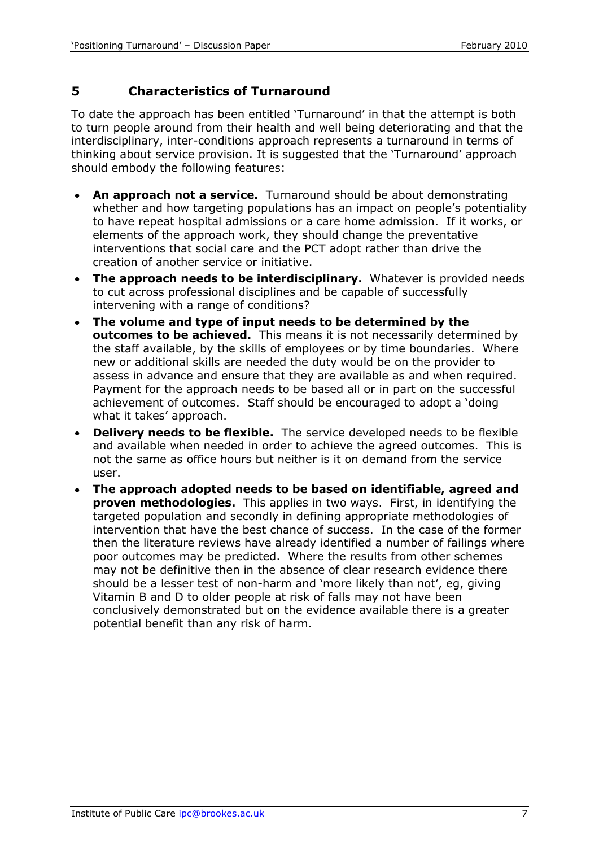# **5 Characteristics of Turnaround**

To date the approach has been entitled 'Turnaround' in that the attempt is both to turn people around from their health and well being deteriorating and that the interdisciplinary, inter-conditions approach represents a turnaround in terms of thinking about service provision. It is suggested that the 'Turnaround' approach should embody the following features:

- **An approach not a service.** Turnaround should be about demonstrating whether and how targeting populations has an impact on people's potentiality to have repeat hospital admissions or a care home admission. If it works, or elements of the approach work, they should change the preventative interventions that social care and the PCT adopt rather than drive the creation of another service or initiative.
- **The approach needs to be interdisciplinary.** Whatever is provided needs to cut across professional disciplines and be capable of successfully intervening with a range of conditions?
- **The volume and type of input needs to be determined by the**   $\bullet$ **outcomes to be achieved.** This means it is not necessarily determined by the staff available, by the skills of employees or by time boundaries. Where new or additional skills are needed the duty would be on the provider to assess in advance and ensure that they are available as and when required. Payment for the approach needs to be based all or in part on the successful achievement of outcomes. Staff should be encouraged to adopt a 'doing what it takes' approach.
- **Delivery needs to be flexible.** The service developed needs to be flexible  $\bullet$ and available when needed in order to achieve the agreed outcomes. This is not the same as office hours but neither is it on demand from the service user.
- **The approach adopted needs to be based on identifiable, agreed and**   $\bullet$ **proven methodologies.** This applies in two ways. First, in identifying the targeted population and secondly in defining appropriate methodologies of intervention that have the best chance of success. In the case of the former then the literature reviews have already identified a number of failings where poor outcomes may be predicted. Where the results from other schemes may not be definitive then in the absence of clear research evidence there should be a lesser test of non-harm and 'more likely than not', eg, giving Vitamin B and D to older people at risk of falls may not have been conclusively demonstrated but on the evidence available there is a greater potential benefit than any risk of harm.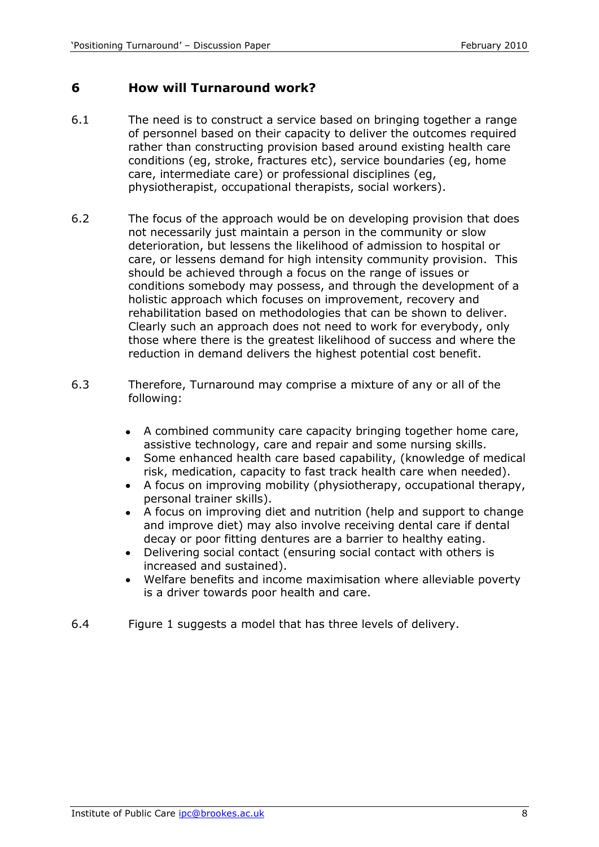### **6 How will Turnaround work?**

- 6.1 The need is to construct a service based on bringing together a range of personnel based on their capacity to deliver the outcomes required rather than constructing provision based around existing health care conditions (eg, stroke, fractures etc), service boundaries (eg, home care, intermediate care) or professional disciplines (eg, physiotherapist, occupational therapists, social workers).
- 6.2 The focus of the approach would be on developing provision that does not necessarily just maintain a person in the community or slow deterioration, but lessens the likelihood of admission to hospital or care, or lessens demand for high intensity community provision. This should be achieved through a focus on the range of issues or conditions somebody may possess, and through the development of a holistic approach which focuses on improvement, recovery and rehabilitation based on methodologies that can be shown to deliver. Clearly such an approach does not need to work for everybody, only those where there is the greatest likelihood of success and where the reduction in demand delivers the highest potential cost benefit.
- 6.3 Therefore, Turnaround may comprise a mixture of any or all of the following:
	- A combined community care capacity bringing together home care, assistive technology, care and repair and some nursing skills.
	- Some enhanced health care based capability, (knowledge of medical risk, medication, capacity to fast track health care when needed).
	- A focus on improving mobility (physiotherapy, occupational therapy, personal trainer skills).
	- A focus on improving diet and nutrition (help and support to change and improve diet) may also involve receiving dental care if dental decay or poor fitting dentures are a barrier to healthy eating.
	- Delivering social contact (ensuring social contact with others is increased and sustained).
	- Welfare benefits and income maximisation where alleviable poverty is a driver towards poor health and care.
- 6.4 Figure 1 suggests a model that has three levels of delivery.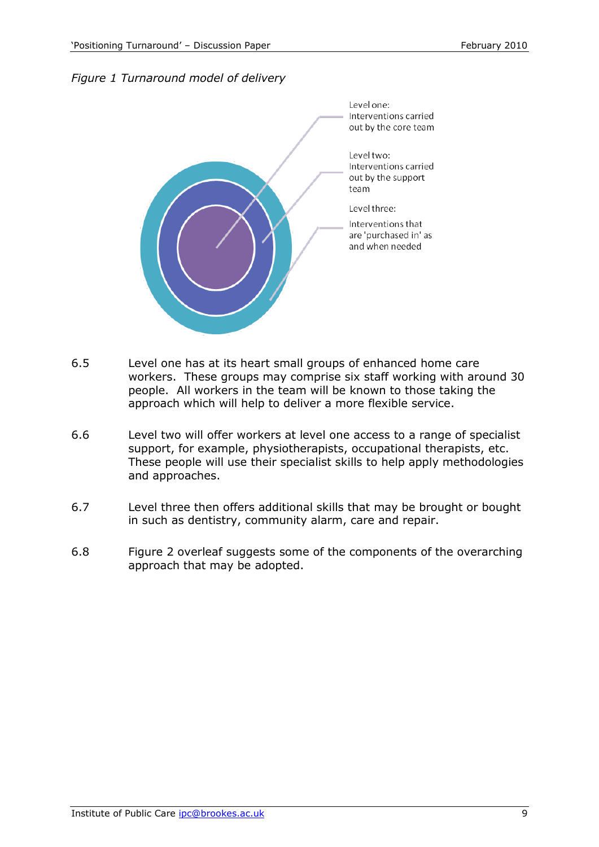



- 6.5 Level one has at its heart small groups of enhanced home care workers. These groups may comprise six staff working with around 30 people. All workers in the team will be known to those taking the approach which will help to deliver a more flexible service.
- 6.6 Level two will offer workers at level one access to a range of specialist support, for example, physiotherapists, occupational therapists, etc. These people will use their specialist skills to help apply methodologies and approaches.
- 6.7 Level three then offers additional skills that may be brought or bought in such as dentistry, community alarm, care and repair.
- 6.8 Figure 2 overleaf suggests some of the components of the overarching approach that may be adopted.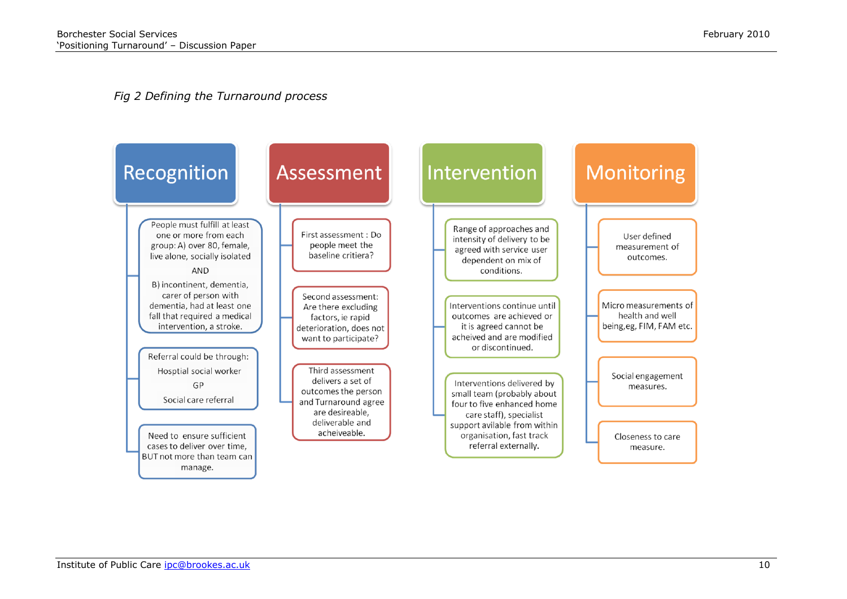#### *Fig 2 Defining the Turnaround process*

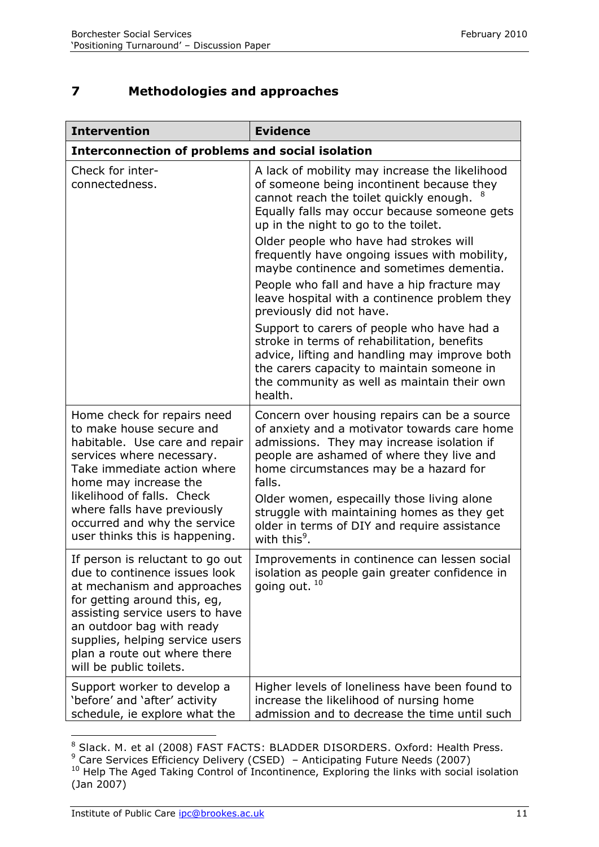# **7 Methodologies and approaches**

| <b>Intervention</b>                                                                                                                                                                                                                                                                                           | <b>Evidence</b>                                                                                                                                                                                                                                                                                                                                                                                                                                                                                                                                                                                                                                                                                                                                         |  |
|---------------------------------------------------------------------------------------------------------------------------------------------------------------------------------------------------------------------------------------------------------------------------------------------------------------|---------------------------------------------------------------------------------------------------------------------------------------------------------------------------------------------------------------------------------------------------------------------------------------------------------------------------------------------------------------------------------------------------------------------------------------------------------------------------------------------------------------------------------------------------------------------------------------------------------------------------------------------------------------------------------------------------------------------------------------------------------|--|
| <b>Interconnection of problems and social isolation</b>                                                                                                                                                                                                                                                       |                                                                                                                                                                                                                                                                                                                                                                                                                                                                                                                                                                                                                                                                                                                                                         |  |
| Check for inter-<br>connectedness.                                                                                                                                                                                                                                                                            | A lack of mobility may increase the likelihood<br>of someone being incontinent because they<br>cannot reach the toilet quickly enough.<br>Equally falls may occur because someone gets<br>up in the night to go to the toilet.<br>Older people who have had strokes will<br>frequently have ongoing issues with mobility,<br>maybe continence and sometimes dementia.<br>People who fall and have a hip fracture may<br>leave hospital with a continence problem they<br>previously did not have.<br>Support to carers of people who have had a<br>stroke in terms of rehabilitation, benefits<br>advice, lifting and handling may improve both<br>the carers capacity to maintain someone in<br>the community as well as maintain their own<br>health. |  |
| Home check for repairs need<br>to make house secure and<br>habitable. Use care and repair<br>services where necessary.<br>Take immediate action where<br>home may increase the<br>likelihood of falls. Check<br>where falls have previously<br>occurred and why the service<br>user thinks this is happening. | Concern over housing repairs can be a source<br>of anxiety and a motivator towards care home<br>admissions. They may increase isolation if<br>people are ashamed of where they live and<br>home circumstances may be a hazard for<br>falls.<br>Older women, especailly those living alone<br>struggle with maintaining homes as they get<br>older in terms of DIY and require assistance<br>with this <sup>9</sup> .                                                                                                                                                                                                                                                                                                                                    |  |
| If person is reluctant to go out<br>due to continence issues look<br>at mechanism and approaches<br>for getting around this, eg,<br>assisting service users to have<br>an outdoor bag with ready<br>supplies, helping service users<br>plan a route out where there<br>will be public toilets.                | Improvements in continence can lessen social<br>isolation as people gain greater confidence in<br>going out. <sup>10</sup>                                                                                                                                                                                                                                                                                                                                                                                                                                                                                                                                                                                                                              |  |
| Support worker to develop a<br>'before' and 'after' activity<br>schedule, ie explore what the                                                                                                                                                                                                                 | Higher levels of loneliness have been found to<br>increase the likelihood of nursing home<br>admission and to decrease the time until such                                                                                                                                                                                                                                                                                                                                                                                                                                                                                                                                                                                                              |  |

 $\overline{a}$ <sup>8</sup> Slack. M. et al (2008) FAST FACTS: BLADDER DISORDERS. Oxford: Health Press.

 $9$  Care Services Efficiency Delivery (CSED) – Anticipating Future Needs (2007)

 $10$  Help The Aged Taking Control of Incontinence, Exploring the links with social isolation (Jan 2007)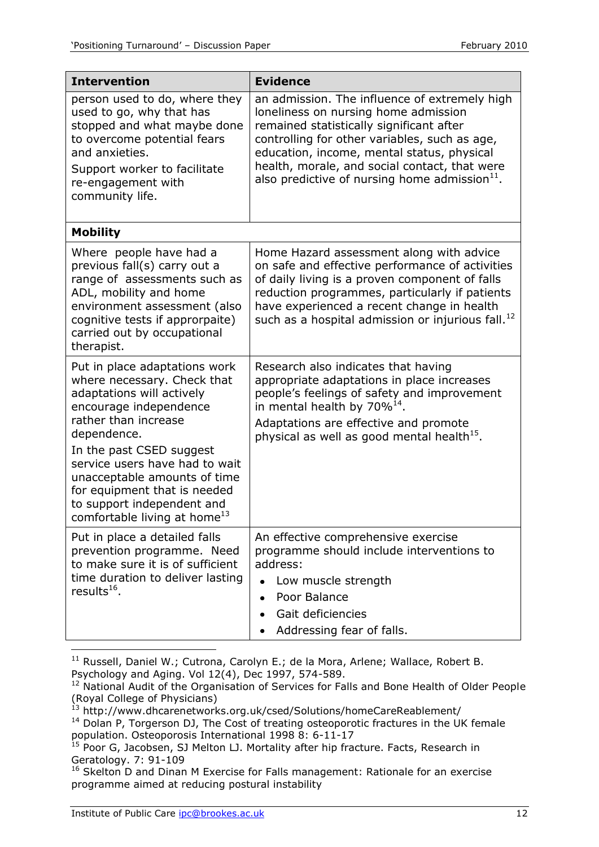| <b>Intervention</b>                                                                                                                                                                                                                                                                                                                                                | <b>Evidence</b>                                                                                                                                                                                                                                                                                                                       |  |
|--------------------------------------------------------------------------------------------------------------------------------------------------------------------------------------------------------------------------------------------------------------------------------------------------------------------------------------------------------------------|---------------------------------------------------------------------------------------------------------------------------------------------------------------------------------------------------------------------------------------------------------------------------------------------------------------------------------------|--|
| person used to do, where they<br>used to go, why that has<br>stopped and what maybe done<br>to overcome potential fears<br>and anxieties.<br>Support worker to facilitate<br>re-engagement with<br>community life.                                                                                                                                                 | an admission. The influence of extremely high<br>loneliness on nursing home admission<br>remained statistically significant after<br>controlling for other variables, such as age,<br>education, income, mental status, physical<br>health, morale, and social contact, that were<br>also predictive of nursing home admission $11$ . |  |
| <b>Mobility</b>                                                                                                                                                                                                                                                                                                                                                    |                                                                                                                                                                                                                                                                                                                                       |  |
| Where people have had a<br>previous fall(s) carry out a<br>range of assessments such as<br>ADL, mobility and home<br>environment assessment (also<br>cognitive tests if approrpaite)<br>carried out by occupational<br>therapist.                                                                                                                                  | Home Hazard assessment along with advice<br>on safe and effective performance of activities<br>of daily living is a proven component of falls<br>reduction programmes, particularly if patients<br>have experienced a recent change in health<br>such as a hospital admission or injurious fall. <sup>12</sup>                        |  |
| Put in place adaptations work<br>where necessary. Check that<br>adaptations will actively<br>encourage independence<br>rather than increase<br>dependence.<br>In the past CSED suggest<br>service users have had to wait<br>unacceptable amounts of time<br>for equipment that is needed<br>to support independent and<br>comfortable living at home <sup>13</sup> | Research also indicates that having<br>appropriate adaptations in place increases<br>people's feelings of safety and improvement<br>in mental health by 70% <sup>14</sup> .<br>Adaptations are effective and promote<br>physical as well as good mental health <sup>15</sup> .                                                        |  |
| Put in place a detailed falls<br>prevention programme. Need<br>to make sure it is of sufficient<br>time duration to deliver lasting<br>results $^{16}$ .                                                                                                                                                                                                           | An effective comprehensive exercise<br>programme should include interventions to<br>address:<br>Low muscle strength<br>Poor Balance<br>Gait deficiencies<br>Addressing fear of falls.                                                                                                                                                 |  |

 $11$  Russell, Daniel W.; Cutrona, Carolyn E.; de la Mora, Arlene; Wallace, Robert B. Psychology and Aging. Vol 12(4), Dec 1997, 574-589.

-

<sup>12</sup> National Audit of the Organisation of Services for Falls and Bone Health of Older People (Royal College of Physicians)

<sup>&</sup>lt;sup>13</sup> http://www.dhcarenetworks.org.uk/csed/Solutions/homeCareReablement/

<sup>14</sup> Dolan P, Torgerson DJ, The Cost of treating osteoporotic fractures in the UK female population. Osteoporosis International 1998 8: 6-11-17

 $^{15}$  Poor G, Jacobsen, SJ Melton LJ. Mortality after hip fracture. Facts, Research in Geratology. 7: 91-109

<sup>16</sup> Skelton D and Dinan M Exercise for Falls management: Rationale for an exercise programme aimed at reducing postural instability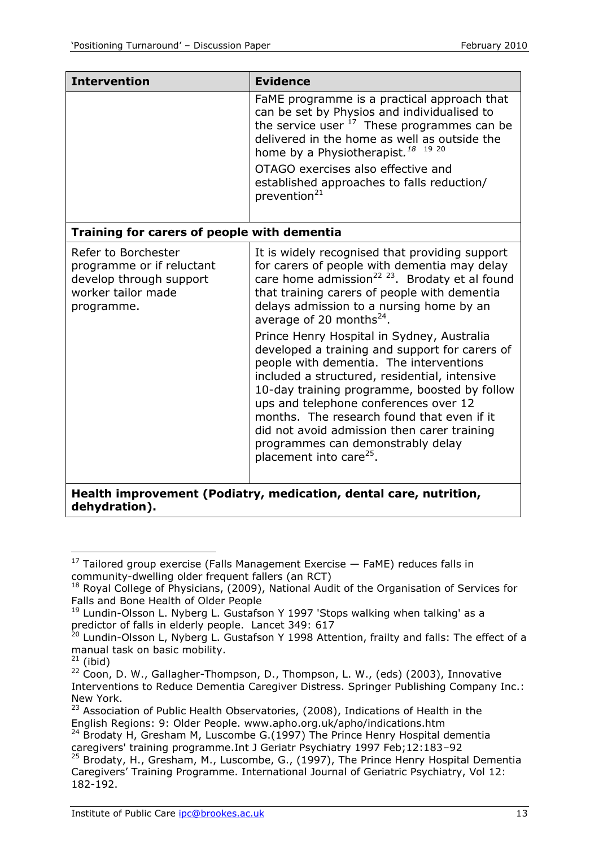| <b>Intervention</b>                                                                                             | <b>Evidence</b>                                                                                                                                                                                                                                                                                                                                                                                                                                                                                                                                                                                                                                                                                                                                                     |  |
|-----------------------------------------------------------------------------------------------------------------|---------------------------------------------------------------------------------------------------------------------------------------------------------------------------------------------------------------------------------------------------------------------------------------------------------------------------------------------------------------------------------------------------------------------------------------------------------------------------------------------------------------------------------------------------------------------------------------------------------------------------------------------------------------------------------------------------------------------------------------------------------------------|--|
|                                                                                                                 | FaME programme is a practical approach that<br>can be set by Physios and individualised to<br>the service user <sup>17</sup> These programmes can be<br>delivered in the home as well as outside the<br>home by a Physiotherapist. <sup>18</sup> <sup>19</sup> <sup>20</sup><br>OTAGO exercises also effective and<br>established approaches to falls reduction/<br>prevention <sup>21</sup>                                                                                                                                                                                                                                                                                                                                                                        |  |
| Training for carers of people with dementia                                                                     |                                                                                                                                                                                                                                                                                                                                                                                                                                                                                                                                                                                                                                                                                                                                                                     |  |
| Refer to Borchester<br>programme or if reluctant<br>develop through support<br>worker tailor made<br>programme. | It is widely recognised that providing support<br>for carers of people with dementia may delay<br>care home admission <sup>22</sup> <sup>23</sup> . Brodaty et al found<br>that training carers of people with dementia<br>delays admission to a nursing home by an<br>average of 20 months $^{24}$ .<br>Prince Henry Hospital in Sydney, Australia<br>developed a training and support for carers of<br>people with dementia. The interventions<br>included a structured, residential, intensive<br>10-day training programme, boosted by follow<br>ups and telephone conferences over 12<br>months. The research found that even if it<br>did not avoid admission then carer training<br>programmes can demonstrably delay<br>placement into care <sup>25</sup> . |  |
| Health improvement (Podiatry, medication, dental care, nutrition,<br>dehydration).                              |                                                                                                                                                                                                                                                                                                                                                                                                                                                                                                                                                                                                                                                                                                                                                                     |  |

l  $17$  Tailored group exercise (Falls Management Exercise  $-$  FaME) reduces falls in community-dwelling older frequent fallers (an RCT)

<sup>&</sup>lt;sup>18</sup> Royal College of Physicians, (2009), National Audit of the Organisation of Services for Falls and Bone Health of Older People

 $19$  Lundin-Olsson L. Nyberg L. Gustafson Y 1997 'Stops walking when talking' as a predictor of falls in elderly people. Lancet 349: 617

<sup>&</sup>lt;sup>20</sup> Lundin-Olsson L, Nyberg L. Gustafson Y 1998 Attention, frailty and falls: The effect of a manual task on basic mobility.

 $21$  (ibid)

 $22$  Coon, D. W., Gallagher-Thompson, D., Thompson, L. W., (eds) (2003), Innovative Interventions to Reduce Dementia Caregiver Distress. Springer Publishing Company Inc.: New York.

<sup>&</sup>lt;sup>23</sup> Association of Public Health Observatories, (2008), Indications of Health in the English Regions: 9: Older People. www.apho.org.uk/apho/indications.htm

 $24$  Brodaty H, Gresham M, Luscombe G.(1997) The Prince Henry Hospital dementia caregivers' training programme.Int J Geriatr Psychiatry 1997 Feb;12:183–92

<sup>&</sup>lt;sup>25</sup> Brodaty, H., Gresham, M., Luscombe, G., (1997), The Prince Henry Hospital Dementia Caregivers' Training Programme. International Journal of Geriatric Psychiatry, Vol 12: 182-192.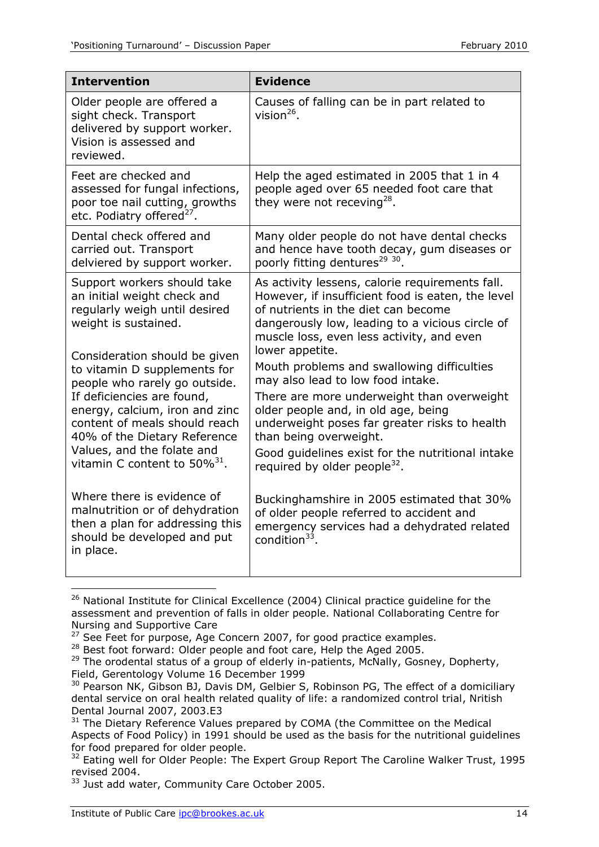| <b>Intervention</b>                                                                                                                         | <b>Evidence</b>                                                                                                                                                                                                                             |  |
|---------------------------------------------------------------------------------------------------------------------------------------------|---------------------------------------------------------------------------------------------------------------------------------------------------------------------------------------------------------------------------------------------|--|
| Older people are offered a<br>sight check. Transport<br>delivered by support worker.<br>Vision is assessed and<br>reviewed.                 | Causes of falling can be in part related to<br>vision $^{26}$ .                                                                                                                                                                             |  |
| Feet are checked and<br>assessed for fungal infections,<br>poor toe nail cutting, growths<br>etc. Podiatry offered <sup>27</sup> .          | Help the aged estimated in 2005 that 1 in 4<br>people aged over 65 needed foot care that<br>they were not receving <sup>28</sup> .                                                                                                          |  |
| Dental check offered and<br>carried out. Transport<br>delviered by support worker.                                                          | Many older people do not have dental checks<br>and hence have tooth decay, gum diseases or<br>poorly fitting dentures <sup>29 30</sup> .                                                                                                    |  |
| Support workers should take<br>an initial weight check and<br>regularly weigh until desired<br>weight is sustained.                         | As activity lessens, calorie requirements fall.<br>However, if insufficient food is eaten, the level<br>of nutrients in the diet can become<br>dangerously low, leading to a vicious circle of<br>muscle loss, even less activity, and even |  |
| Consideration should be given<br>to vitamin D supplements for<br>people who rarely go outside.                                              | lower appetite.<br>Mouth problems and swallowing difficulties<br>may also lead to low food intake.                                                                                                                                          |  |
| If deficiencies are found,<br>energy, calcium, iron and zinc<br>content of meals should reach<br>40% of the Dietary Reference               | There are more underweight than overweight<br>older people and, in old age, being<br>underweight poses far greater risks to health<br>than being overweight.                                                                                |  |
| Values, and the folate and<br>vitamin C content to $50\%^{31}$ .                                                                            | Good quidelines exist for the nutritional intake<br>required by older people <sup>32</sup> .                                                                                                                                                |  |
| Where there is evidence of<br>malnutrition or of dehydration<br>then a plan for addressing this<br>should be developed and put<br>in place. | Buckinghamshire in 2005 estimated that 30%<br>of older people referred to accident and<br>emergency services had a dehydrated related<br>condition <sup>33</sup> .                                                                          |  |
|                                                                                                                                             |                                                                                                                                                                                                                                             |  |

<sup>&</sup>lt;sup>26</sup> National Institute for Clinical Excellence (2004) Clinical practice guideline for the assessment and prevention of falls in older people. National Collaborating Centre for Nursing and Supportive Care

<sup>&</sup>lt;sup>27</sup> See Feet for purpose, Age Concern 2007, for good practice examples.

<sup>&</sup>lt;sup>28</sup> Best foot forward: Older people and foot care, Help the Aged 2005.

<sup>&</sup>lt;sup>29</sup> The orodental status of a group of elderly in-patients, McNally, Gosney, Dopherty, Field, Gerentology Volume 16 December 1999

<sup>&</sup>lt;sup>30</sup> Pearson NK, Gibson BJ, Davis DM, Gelbier S, Robinson PG, The effect of a domiciliary dental service on oral health related quality of life: a randomized control trial, Nritish Dental Journal 2007, 2003.E3

<sup>&</sup>lt;sup>31</sup> The Dietary Reference Values prepared by COMA (the Committee on the Medical Aspects of Food Policy) in 1991 should be used as the basis for the nutritional guidelines for food prepared for older people.

<sup>&</sup>lt;sup>32</sup> Eating well for Older People: The Expert Group Report The Caroline Walker Trust, 1995 revised 2004.

<sup>&</sup>lt;sup>33</sup> Just add water, Community Care October 2005.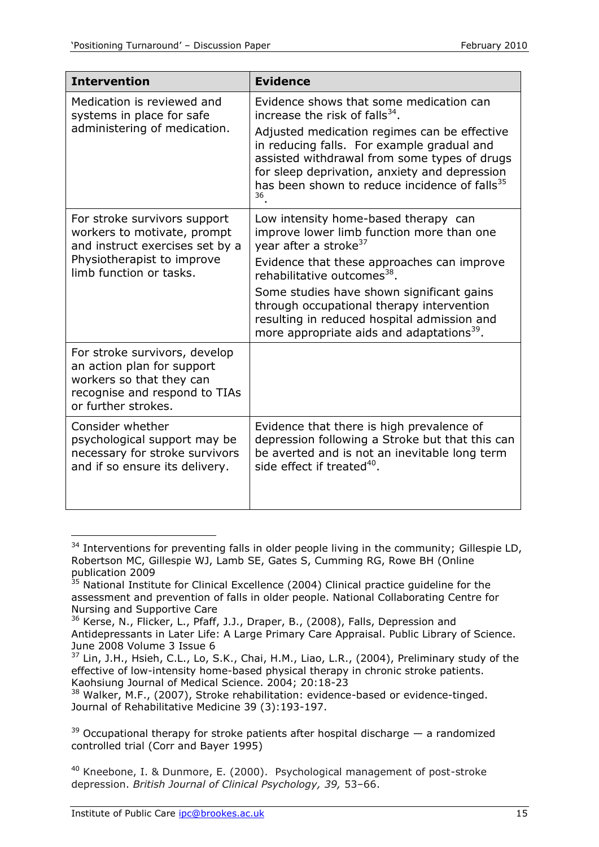| <b>Intervention</b>                                                                                                                             | <b>Evidence</b>                                                                                                                                                                                                                                                |  |
|-------------------------------------------------------------------------------------------------------------------------------------------------|----------------------------------------------------------------------------------------------------------------------------------------------------------------------------------------------------------------------------------------------------------------|--|
| Medication is reviewed and                                                                                                                      | Evidence shows that some medication can                                                                                                                                                                                                                        |  |
| systems in place for safe                                                                                                                       | increase the risk of falls $^{34}$ .                                                                                                                                                                                                                           |  |
| administering of medication.                                                                                                                    | Adjusted medication regimes can be effective<br>in reducing falls. For example gradual and<br>assisted withdrawal from some types of drugs<br>for sleep deprivation, anxiety and depression<br>has been shown to reduce incidence of falls <sup>35</sup><br>36 |  |
| For stroke survivors support                                                                                                                    | Low intensity home-based therapy can                                                                                                                                                                                                                           |  |
| workers to motivate, prompt                                                                                                                     | improve lower limb function more than one                                                                                                                                                                                                                      |  |
| and instruct exercises set by a                                                                                                                 | year after a stroke <sup>37</sup>                                                                                                                                                                                                                              |  |
| Physiotherapist to improve                                                                                                                      | Evidence that these approaches can improve                                                                                                                                                                                                                     |  |
| limb function or tasks.                                                                                                                         | rehabilitative outcomes <sup>38</sup> .                                                                                                                                                                                                                        |  |
|                                                                                                                                                 | Some studies have shown significant gains<br>through occupational therapy intervention<br>resulting in reduced hospital admission and<br>more appropriate aids and adaptations <sup>39</sup> .                                                                 |  |
| For stroke survivors, develop<br>an action plan for support<br>workers so that they can<br>recognise and respond to TIAs<br>or further strokes. |                                                                                                                                                                                                                                                                |  |
| Consider whether                                                                                                                                | Evidence that there is high prevalence of                                                                                                                                                                                                                      |  |
| psychological support may be                                                                                                                    | depression following a Stroke but that this can                                                                                                                                                                                                                |  |
| necessary for stroke survivors                                                                                                                  | be averted and is not an inevitable long term                                                                                                                                                                                                                  |  |
| and if so ensure its delivery.                                                                                                                  | side effect if treated <sup>40</sup> .                                                                                                                                                                                                                         |  |

 $34$  Interventions for preventing falls in older people living in the community; Gillespie LD, Robertson MC, Gillespie WJ, Lamb SE, Gates S, Cumming RG, Rowe BH (Online publication 2009

-

 $35$  National Institute for Clinical Excellence (2004) Clinical practice guideline for the assessment and prevention of falls in older people. National Collaborating Centre for Nursing and Supportive Care

<sup>36</sup> Kerse, N., Flicker, L., Pfaff, J.J., Draper, B., (2008), Falls, Depression and Antidepressants in Later Life: A Large Primary Care Appraisal. Public Library of Science. June 2008 Volume 3 Issue 6

<sup>&</sup>lt;sup>37</sup> Lin, J.H., Hsieh, C.L., Lo, S.K., Chai, H.M., Liao, L.R., (2004), Preliminary study of the effective of low-intensity home-based physical therapy in chronic stroke patients. Kaohsiung Journal of Medical Science. 2004; 20:18-23

<sup>38</sup> Walker, M.F., (2007), Stroke rehabilitation: evidence-based or evidence-tinged. Journal of Rehabilitative Medicine 39 (3):193-197.

 $39$  Occupational therapy for stroke patients after hospital discharge  $-$  a randomized controlled trial (Corr and Bayer 1995)

<sup>&</sup>lt;sup>40</sup> Kneebone, I. & Dunmore, E. (2000). Psychological management of post-stroke depression. *British Journal of Clinical Psychology, 39,* 53–66.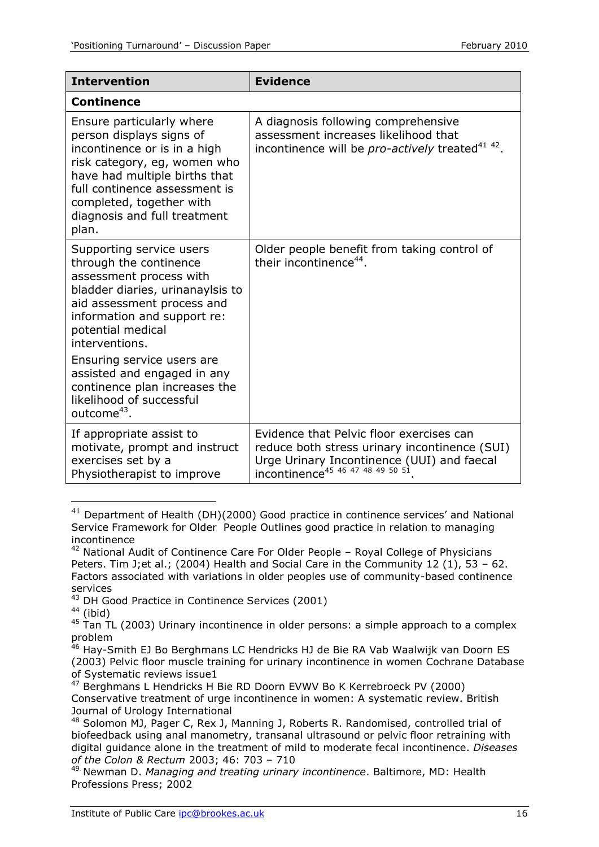| <b>Intervention</b>                                                                                                                                                                                                                                                                                                                                                        | <b>Evidence</b>                                                                                                                                                                         |  |
|----------------------------------------------------------------------------------------------------------------------------------------------------------------------------------------------------------------------------------------------------------------------------------------------------------------------------------------------------------------------------|-----------------------------------------------------------------------------------------------------------------------------------------------------------------------------------------|--|
| <b>Continence</b>                                                                                                                                                                                                                                                                                                                                                          |                                                                                                                                                                                         |  |
| Ensure particularly where<br>person displays signs of<br>incontinence or is in a high<br>risk category, eg, women who<br>have had multiple births that<br>full continence assessment is<br>completed, together with<br>diagnosis and full treatment<br>plan.                                                                                                               | A diagnosis following comprehensive<br>assessment increases likelihood that<br>incontinence will be pro-actively treated <sup>41 42</sup> .                                             |  |
| Supporting service users<br>through the continence<br>assessment process with<br>bladder diaries, urinanaylsis to<br>aid assessment process and<br>information and support re:<br>potential medical<br>interventions.<br>Ensuring service users are<br>assisted and engaged in any<br>continence plan increases the<br>likelihood of successful<br>outcome <sup>43</sup> . | Older people benefit from taking control of<br>their incontinence <sup>44</sup> .                                                                                                       |  |
| If appropriate assist to<br>motivate, prompt and instruct<br>exercises set by a<br>Physiotherapist to improve                                                                                                                                                                                                                                                              | Evidence that Pelvic floor exercises can<br>reduce both stress urinary incontinence (SUI)<br>Urge Urinary Incontinence (UUI) and faecal<br>incontinence <sup>45</sup> 46 47 48 49 50 51 |  |

 $41$  Department of Health (DH)(2000) Good practice in continence services' and National Service Framework for Older People Outlines good practice in relation to managing incontinence

 $44$  (ibid)

1

<sup>46</sup> Hay-Smith EJ Bo Berghmans LC Hendricks HJ de Bie RA Vab Waalwijk van Doorn ES (2003) Pelvic floor muscle training for urinary incontinence in women Cochrane Database of Systematic reviews issue1

 $42$  National Audit of Continence Care For Older People – Royal College of Physicians Peters. Tim J;et al.; (2004) Health and Social Care in the Community 12 (1), 53 - 62. Factors associated with variations in older peoples use of community-based continence services

<sup>&</sup>lt;sup>43</sup> DH Good Practice in Continence Services (2001)

 $45$  Tan TL (2003) Urinary incontinence in older persons: a simple approach to a complex problem

<sup>&</sup>lt;sup>47</sup> Berghmans L Hendricks H Bie RD Doorn EVWV Bo K Kerrebroeck PV (2000) Conservative treatment of urge incontinence in women: A systematic review. British Journal of Urology International

<sup>48</sup> Solomon MJ, Pager C, Rex J, Manning J, Roberts R. Randomised, controlled trial of biofeedback using anal manometry, transanal ultrasound or pelvic floor retraining with digital guidance alone in the treatment of mild to moderate fecal incontinence. *Diseases of the Colon & Rectum* 2003; 46: 703 – 710

<sup>49</sup> Newman D. *Managing and treating urinary incontinence*. Baltimore, MD: Health Professions Press; 2002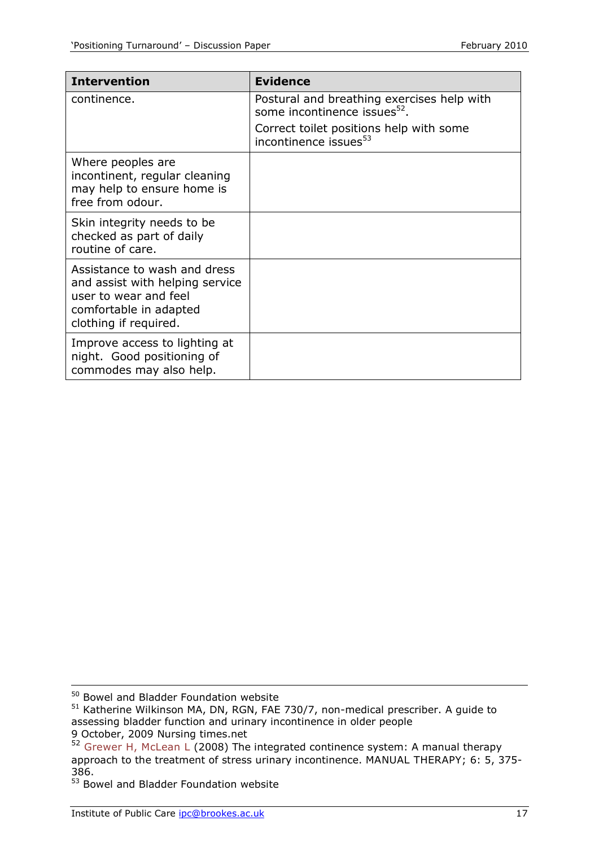| <b>Intervention</b>                                                                                                                         | <b>Evidence</b>                                                                        |
|---------------------------------------------------------------------------------------------------------------------------------------------|----------------------------------------------------------------------------------------|
| continence.                                                                                                                                 | Postural and breathing exercises help with<br>some incontinence issues <sup>52</sup> . |
|                                                                                                                                             | Correct toilet positions help with some<br>incontinence issues <sup>53</sup>           |
| Where peoples are<br>incontinent, regular cleaning<br>may help to ensure home is<br>free from odour.                                        |                                                                                        |
| Skin integrity needs to be<br>checked as part of daily<br>routine of care.                                                                  |                                                                                        |
| Assistance to wash and dress<br>and assist with helping service<br>user to wear and feel<br>comfortable in adapted<br>clothing if required. |                                                                                        |
| Improve access to lighting at<br>night. Good positioning of<br>commodes may also help.                                                      |                                                                                        |

 $\overline{a}$ 

<sup>&</sup>lt;sup>50</sup> Bowel and Bladder Foundation website

<sup>51</sup> Katherine Wilkinson MA, DN, RGN, FAE 730/7, non-medical prescriber. A guide to assessing bladder function and urinary incontinence in older people

<sup>9</sup> October, 2009 Nursing times.net

 $52$  Grewer H, McLean L (2008) The integrated continence system: A manual therapy approach to the treatment of stress urinary incontinence. MANUAL THERAPY; 6: 5, 375- 386.

<sup>&</sup>lt;sup>53</sup> Bowel and Bladder Foundation website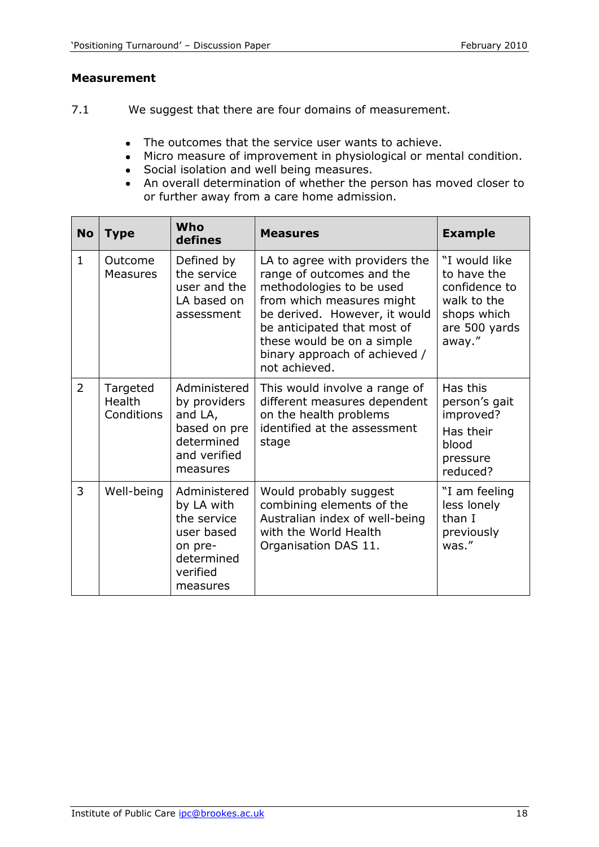#### **Measurement**

- 7.1 We suggest that there are four domains of measurement.
	- The outcomes that the service user wants to achieve.  $\bullet$
	- Micro measure of improvement in physiological or mental condition.
	- Social isolation and well being measures.
	- An overall determination of whether the person has moved closer to or further away from a care home admission.

| <b>No</b>      | <b>Type</b>                      | Who<br>defines                                                                                           | <b>Measures</b>                                                                                                                                                                                                                                                      | <b>Example</b>                                                                                         |
|----------------|----------------------------------|----------------------------------------------------------------------------------------------------------|----------------------------------------------------------------------------------------------------------------------------------------------------------------------------------------------------------------------------------------------------------------------|--------------------------------------------------------------------------------------------------------|
| $\mathbf{1}$   | Outcome<br><b>Measures</b>       | Defined by<br>the service<br>user and the<br>LA based on<br>assessment                                   | LA to agree with providers the<br>range of outcomes and the<br>methodologies to be used<br>from which measures might<br>be derived. However, it would<br>be anticipated that most of<br>these would be on a simple<br>binary approach of achieved /<br>not achieved. | "I would like<br>to have the<br>confidence to<br>walk to the<br>shops which<br>are 500 yards<br>away." |
| $\overline{2}$ | Targeted<br>Health<br>Conditions | Administered<br>by providers<br>and LA,<br>based on pre<br>determined<br>and verified<br>measures        | This would involve a range of<br>different measures dependent<br>on the health problems<br>identified at the assessment<br>stage                                                                                                                                     | Has this<br>person's gait<br>improved?<br>Has their<br>blood<br>pressure<br>reduced?                   |
| 3              | Well-being                       | Administered<br>by LA with<br>the service<br>user based<br>on pre-<br>determined<br>verified<br>measures | Would probably suggest<br>combining elements of the<br>Australian index of well-being<br>with the World Health<br>Organisation DAS 11.                                                                                                                               | "I am feeling<br>less lonely<br>than I<br>previously<br>was."                                          |